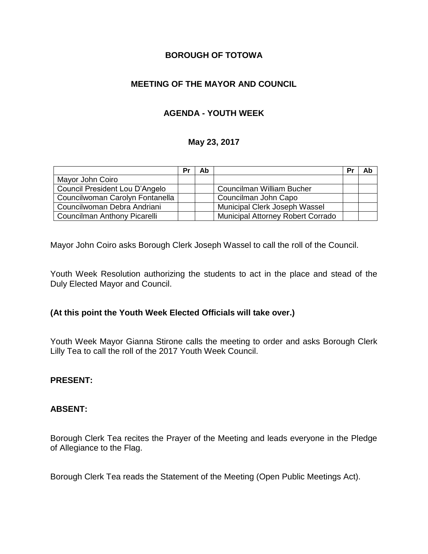## **BOROUGH OF TOTOWA**

# **MEETING OF THE MAYOR AND COUNCIL**

# **AGENDA - YOUTH WEEK**

## **May 23, 2017**

|                                 | Pr | Ab |                                          | Pr | Ab |
|---------------------------------|----|----|------------------------------------------|----|----|
| Mayor John Coiro                |    |    |                                          |    |    |
| Council President Lou D'Angelo  |    |    | Councilman William Bucher                |    |    |
| Councilwoman Carolyn Fontanella |    |    | Councilman John Capo                     |    |    |
| Councilwoman Debra Andriani     |    |    | Municipal Clerk Joseph Wassel            |    |    |
| Councilman Anthony Picarelli    |    |    | <b>Municipal Attorney Robert Corrado</b> |    |    |

Mayor John Coiro asks Borough Clerk Joseph Wassel to call the roll of the Council.

Youth Week Resolution authorizing the students to act in the place and stead of the Duly Elected Mayor and Council.

## **(At this point the Youth Week Elected Officials will take over.)**

Youth Week Mayor Gianna Stirone calls the meeting to order and asks Borough Clerk Lilly Tea to call the roll of the 2017 Youth Week Council.

#### **PRESENT:**

#### **ABSENT:**

Borough Clerk Tea recites the Prayer of the Meeting and leads everyone in the Pledge of Allegiance to the Flag.

Borough Clerk Tea reads the Statement of the Meeting (Open Public Meetings Act).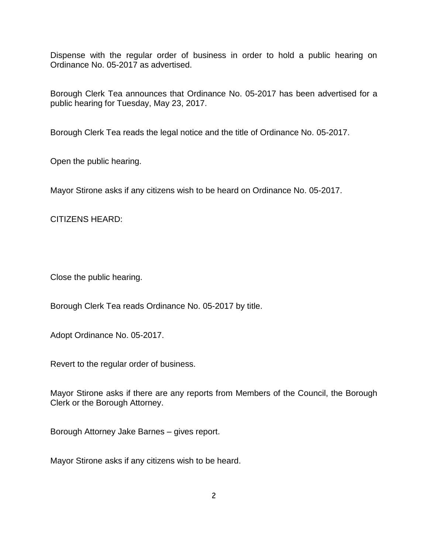Dispense with the regular order of business in order to hold a public hearing on Ordinance No. 05-2017 as advertised.

Borough Clerk Tea announces that Ordinance No. 05-2017 has been advertised for a public hearing for Tuesday, May 23, 2017.

Borough Clerk Tea reads the legal notice and the title of Ordinance No. 05-2017.

Open the public hearing.

Mayor Stirone asks if any citizens wish to be heard on Ordinance No. 05-2017.

CITIZENS HEARD:

Close the public hearing.

Borough Clerk Tea reads Ordinance No. 05-2017 by title.

Adopt Ordinance No. 05-2017.

Revert to the regular order of business.

Mayor Stirone asks if there are any reports from Members of the Council, the Borough Clerk or the Borough Attorney.

Borough Attorney Jake Barnes – gives report.

Mayor Stirone asks if any citizens wish to be heard.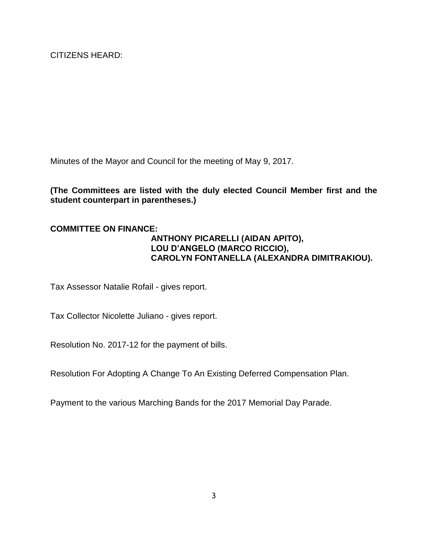CITIZENS HEARD:

Minutes of the Mayor and Council for the meeting of May 9, 2017.

## **(The Committees are listed with the duly elected Council Member first and the student counterpart in parentheses.)**

#### **COMMITTEE ON FINANCE:**

## **ANTHONY PICARELLI (AIDAN APITO), LOU D'ANGELO (MARCO RICCIO), CAROLYN FONTANELLA (ALEXANDRA DIMITRAKIOU).**

Tax Assessor Natalie Rofail - gives report.

Tax Collector Nicolette Juliano - gives report.

Resolution No. 2017-12 for the payment of bills.

Resolution For Adopting A Change To An Existing Deferred Compensation Plan.

Payment to the various Marching Bands for the 2017 Memorial Day Parade.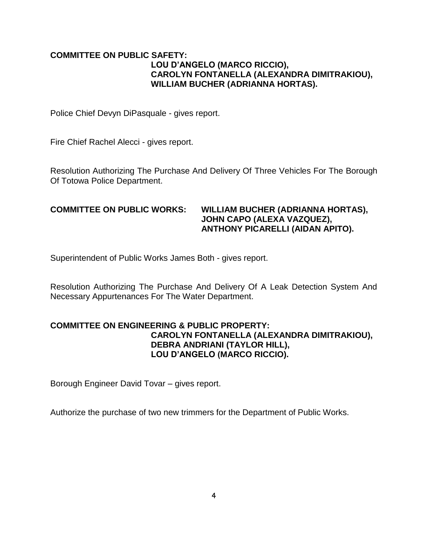#### **COMMITTEE ON PUBLIC SAFETY: LOU D'ANGELO (MARCO RICCIO), CAROLYN FONTANELLA (ALEXANDRA DIMITRAKIOU), WILLIAM BUCHER (ADRIANNA HORTAS).**

Police Chief Devyn DiPasquale - gives report.

Fire Chief Rachel Alecci - gives report.

Resolution Authorizing The Purchase And Delivery Of Three Vehicles For The Borough Of Totowa Police Department.

## **COMMITTEE ON PUBLIC WORKS: WILLIAM BUCHER (ADRIANNA HORTAS), JOHN CAPO (ALEXA VAZQUEZ), ANTHONY PICARELLI (AIDAN APITO).**

Superintendent of Public Works James Both - gives report.

Resolution Authorizing The Purchase And Delivery Of A Leak Detection System And Necessary Appurtenances For The Water Department.

## **COMMITTEE ON ENGINEERING & PUBLIC PROPERTY: CAROLYN FONTANELLA (ALEXANDRA DIMITRAKIOU), DEBRA ANDRIANI (TAYLOR HILL), LOU D'ANGELO (MARCO RICCIO).**

Borough Engineer David Tovar – gives report.

Authorize the purchase of two new trimmers for the Department of Public Works.